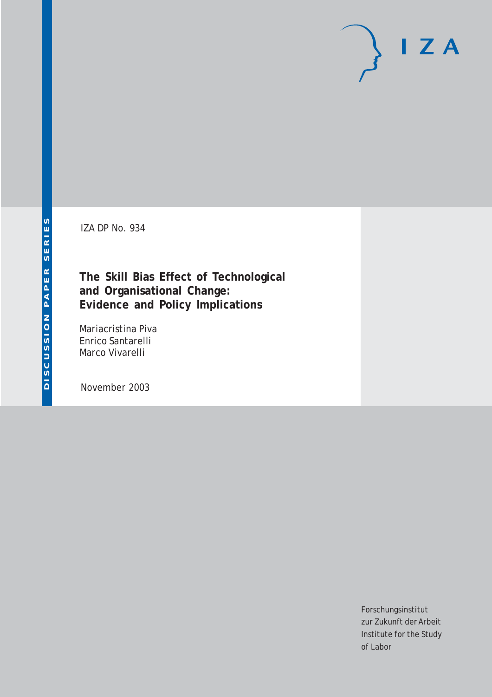# $I Z A$

IZA DP No. 934

**The Skill Bias Effect of Technological and Organisational Change: Evidence and Policy Implications**

Mariacristina Piva Enrico Santarelli Marco Vivarelli

November 2003

Forschungsinstitut zur Zukunft der Arbeit Institute for the Study of Labor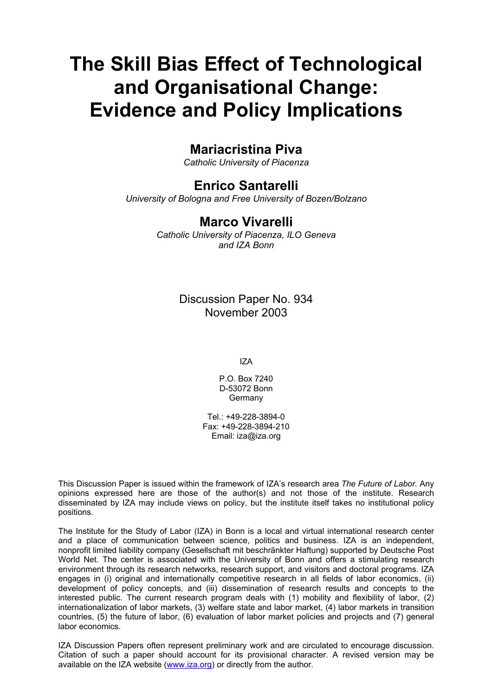# **The Skill Bias Effect of Technological and Organisational Change: Evidence and Policy Implications**

## **Mariacristina Piva**

*Catholic University of Piacenza* 

## **Enrico Santarelli**

*University of Bologna and Free University of Bozen/Bolzano* 

### **Marco Vivarelli**

*Catholic University of Piacenza, ILO Geneva and IZA Bonn*

> Discussion Paper No. 934 November 2003

> > IZA

P.O. Box 7240 D-53072 Bonn **Germany** 

Tel.: +49-228-3894-0 Fax: +49-228-3894-210 Email: [iza@iza.org](mailto:iza@iza.org)

This Discussion Paper is issued within the framework of IZA's research area *The Future of Labor.* Any opinions expressed here are those of the author(s) and not those of the institute. Research disseminated by IZA may include views on policy, but the institute itself takes no institutional policy positions.

The Institute for the Study of Labor (IZA) in Bonn is a local and virtual international research center and a place of communication between science, politics and business. IZA is an independent, nonprofit limited liability company (Gesellschaft mit beschränkter Haftung) supported by Deutsche Post World Net. The center is associated with the University of Bonn and offers a stimulating research environment through its research networks, research support, and visitors and doctoral programs. IZA engages in (i) original and internationally competitive research in all fields of labor economics, (ii) development of policy concepts, and (iii) dissemination of research results and concepts to the interested public. The current research program deals with (1) mobility and flexibility of labor, (2) internationalization of labor markets, (3) welfare state and labor market, (4) labor markets in transition countries, (5) the future of labor, (6) evaluation of labor market policies and projects and (7) general labor economics.

IZA Discussion Papers often represent preliminary work and are circulated to encourage discussion. Citation of such a paper should account for its provisional character. A revised version may be available on the IZA website ([www.iza.org](http://www.iza.org/)) or directly from the author.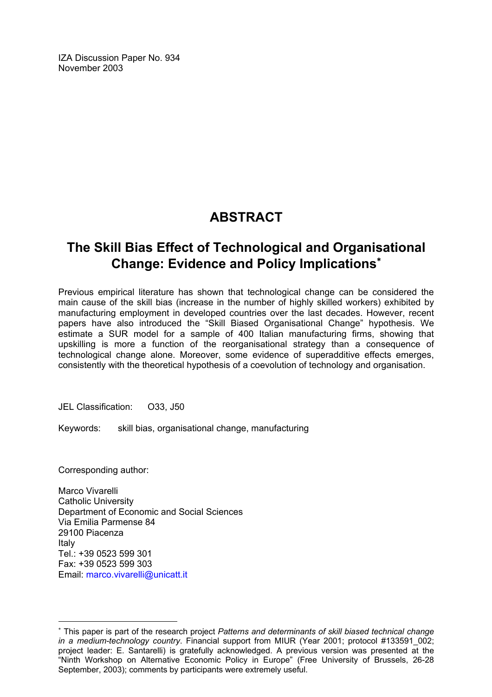IZA Discussion Paper No. 934 November 2003

# **ABSTRACT**

# **The Skill Bias Effect of Technological and Organisational Change: Evidence and Policy Implications**[∗](#page-2-0)

Previous empirical literature has shown that technological change can be considered the main cause of the skill bias (increase in the number of highly skilled workers) exhibited by manufacturing employment in developed countries over the last decades. However, recent papers have also introduced the "Skill Biased Organisational Change" hypothesis. We estimate a SUR model for a sample of 400 Italian manufacturing firms, showing that upskilling is more a function of the reorganisational strategy than a consequence of technological change alone. Moreover, some evidence of superadditive effects emerges, consistently with the theoretical hypothesis of a coevolution of technology and organisation.

JEL Classification: O33, J50

Keywords: skill bias, organisational change, manufacturing

Corresponding author:

 $\overline{a}$ 

Marco Vivarelli Catholic University Department of Economic and Social Sciences Via Emilia Parmense 84 29100 Piacenza Italy Tel:  $+39.0523.599.301$ Fax: +39 0523 599 303 Email: [marco.vivarelli@unicatt.it](mailto:marco.vivarelli@unicatt.it) 

<span id="page-2-0"></span><sup>∗</sup> This paper is part of the research project *Patterns and determinants of skill biased technical change in a medium-technology country*. Financial support from MIUR (Year 2001; protocol #133591\_002; project leader: E. Santarelli) is gratefully acknowledged. A previous version was presented at the "Ninth Workshop on Alternative Economic Policy in Europe" (Free University of Brussels, 26-28 September, 2003); comments by participants were extremely useful.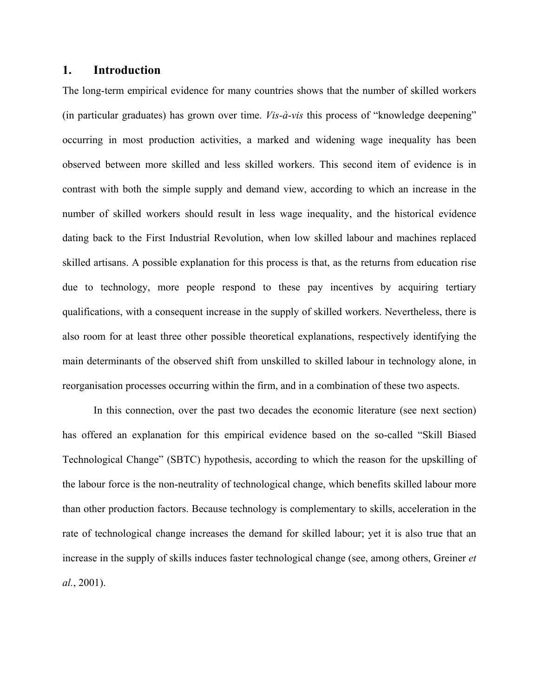#### **1. Introduction**

The long-term empirical evidence for many countries shows that the number of skilled workers (in particular graduates) has grown over time. *Vis-à-vis* this process of "knowledge deepening" occurring in most production activities, a marked and widening wage inequality has been observed between more skilled and less skilled workers. This second item of evidence is in contrast with both the simple supply and demand view, according to which an increase in the number of skilled workers should result in less wage inequality, and the historical evidence dating back to the First Industrial Revolution, when low skilled labour and machines replaced skilled artisans. A possible explanation for this process is that, as the returns from education rise due to technology, more people respond to these pay incentives by acquiring tertiary qualifications, with a consequent increase in the supply of skilled workers. Nevertheless, there is also room for at least three other possible theoretical explanations, respectively identifying the main determinants of the observed shift from unskilled to skilled labour in technology alone, in reorganisation processes occurring within the firm, and in a combination of these two aspects.

In this connection, over the past two decades the economic literature (see next section) has offered an explanation for this empirical evidence based on the so-called "Skill Biased Technological Change" (SBTC) hypothesis, according to which the reason for the upskilling of the labour force is the non-neutrality of technological change, which benefits skilled labour more than other production factors. Because technology is complementary to skills, acceleration in the rate of technological change increases the demand for skilled labour; yet it is also true that an increase in the supply of skills induces faster technological change (see, among others, Greiner *et al.*, 2001).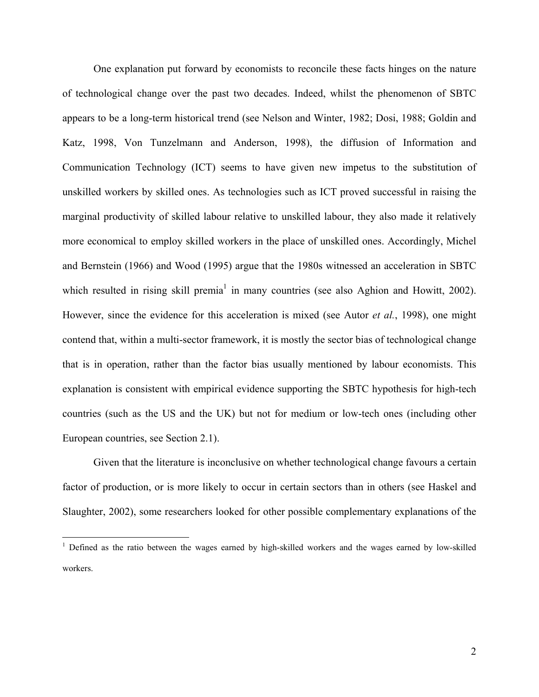One explanation put forward by economists to reconcile these facts hinges on the nature of technological change over the past two decades. Indeed, whilst the phenomenon of SBTC appears to be a long-term historical trend (see Nelson and Winter, 1982; Dosi, 1988; Goldin and Katz, 1998, Von Tunzelmann and Anderson, 1998), the diffusion of Information and Communication Technology (ICT) seems to have given new impetus to the substitution of unskilled workers by skilled ones. As technologies such as ICT proved successful in raising the marginal productivity of skilled labour relative to unskilled labour, they also made it relatively more economical to employ skilled workers in the place of unskilled ones. Accordingly, Michel and Bernstein (1966) and Wood (1995) argue that the 1980s witnessed an acceleration in SBTC which resulted in rising skill premia<sup>[1](#page-4-0)</sup> in many countries (see also Aghion and Howitt, 2002). However, since the evidence for this acceleration is mixed (see Autor *et al.*, 1998), one might contend that, within a multi-sector framework, it is mostly the sector bias of technological change that is in operation, rather than the factor bias usually mentioned by labour economists. This explanation is consistent with empirical evidence supporting the SBTC hypothesis for high-tech countries (such as the US and the UK) but not for medium or low-tech ones (including other European countries, see Section 2.1).

Given that the literature is inconclusive on whether technological change favours a certain factor of production, or is more likely to occur in certain sectors than in others (see Haskel and Slaughter, 2002), some researchers looked for other possible complementary explanations of the

<span id="page-4-0"></span><sup>&</sup>lt;sup>1</sup> Defined as the ratio between the wages earned by high-skilled workers and the wages earned by low-skilled workers.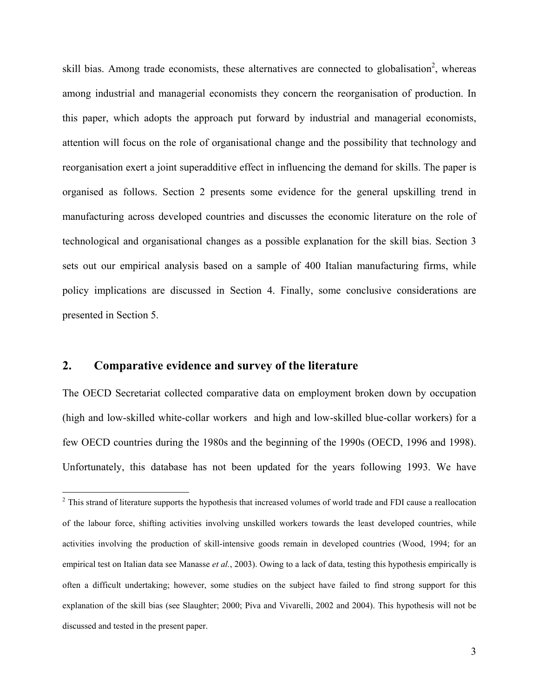skill bias. Among trade economists, these alternatives are connected to globalisation<sup>[2](#page-5-0)</sup>, whereas among industrial and managerial economists they concern the reorganisation of production. In this paper, which adopts the approach put forward by industrial and managerial economists, attention will focus on the role of organisational change and the possibility that technology and reorganisation exert a joint superadditive effect in influencing the demand for skills. The paper is organised as follows. Section 2 presents some evidence for the general upskilling trend in manufacturing across developed countries and discusses the economic literature on the role of technological and organisational changes as a possible explanation for the skill bias. Section 3 sets out our empirical analysis based on a sample of 400 Italian manufacturing firms, while policy implications are discussed in Section 4. Finally, some conclusive considerations are presented in Section 5.

#### **2. Comparative evidence and survey of the literature**

 $\overline{a}$ 

The OECD Secretariat collected comparative data on employment broken down by occupation (high and low-skilled white-collar workers and high and low-skilled blue-collar workers) for a few OECD countries during the 1980s and the beginning of the 1990s (OECD, 1996 and 1998). Unfortunately, this database has not been updated for the years following 1993. We have

<span id="page-5-0"></span> $2^2$  This strand of literature supports the hypothesis that increased volumes of world trade and FDI cause a reallocation of the labour force, shifting activities involving unskilled workers towards the least developed countries, while activities involving the production of skill-intensive goods remain in developed countries (Wood, 1994; for an empirical test on Italian data see Manasse *et al.*, 2003). Owing to a lack of data, testing this hypothesis empirically is often a difficult undertaking; however, some studies on the subject have failed to find strong support for this explanation of the skill bias (see Slaughter; 2000; Piva and Vivarelli, 2002 and 2004). This hypothesis will not be discussed and tested in the present paper.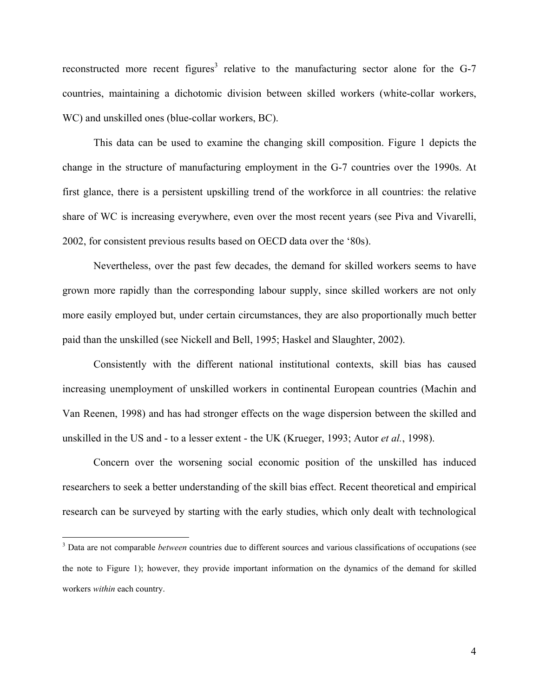reconstructed more recent figures<sup>[3](#page-6-0)</sup> relative to the manufacturing sector alone for the G-7 countries, maintaining a dichotomic division between skilled workers (white-collar workers, WC) and unskilled ones (blue-collar workers, BC).

This data can be used to examine the changing skill composition. Figure 1 depicts the change in the structure of manufacturing employment in the G-7 countries over the 1990s. At first glance, there is a persistent upskilling trend of the workforce in all countries: the relative share of WC is increasing everywhere, even over the most recent years (see Piva and Vivarelli, 2002, for consistent previous results based on OECD data over the '80s).

Nevertheless, over the past few decades, the demand for skilled workers seems to have grown more rapidly than the corresponding labour supply, since skilled workers are not only more easily employed but, under certain circumstances, they are also proportionally much better paid than the unskilled (see Nickell and Bell, 1995; Haskel and Slaughter, 2002).

Consistently with the different national institutional contexts, skill bias has caused increasing unemployment of unskilled workers in continental European countries (Machin and Van Reenen, 1998) and has had stronger effects on the wage dispersion between the skilled and unskilled in the US and - to a lesser extent - the UK (Krueger, 1993; Autor *et al.*, 1998).

Concern over the worsening social economic position of the unskilled has induced researchers to seek a better understanding of the skill bias effect. Recent theoretical and empirical research can be surveyed by starting with the early studies, which only dealt with technological

<span id="page-6-0"></span><sup>&</sup>lt;sup>3</sup> Data are not comparable *between* countries due to different sources and various classifications of occupations (see the note to Figure 1); however, they provide important information on the dynamics of the demand for skilled workers *within* each country.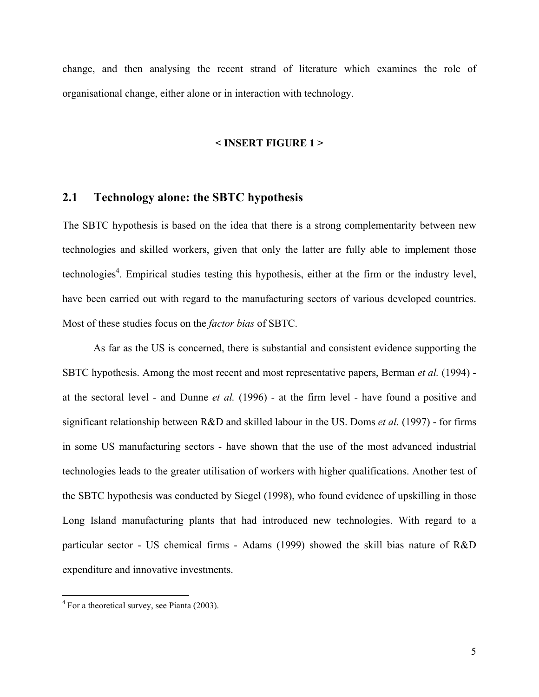change, and then analysing the recent strand of literature which examines the role of organisational change, either alone or in interaction with technology.

#### **< INSERT FIGURE 1 >**

#### **2.1 Technology alone: the SBTC hypothesis**

The SBTC hypothesis is based on the idea that there is a strong complementarity between new technologies and skilled workers, given that only the latter are fully able to implement those technologies<sup>[4](#page-7-0)</sup>. Empirical studies testing this hypothesis, either at the firm or the industry level, have been carried out with regard to the manufacturing sectors of various developed countries. Most of these studies focus on the *factor bias* of SBTC.

As far as the US is concerned, there is substantial and consistent evidence supporting the SBTC hypothesis. Among the most recent and most representative papers, Berman *et al.* (1994) at the sectoral level - and Dunne *et al.* (1996) - at the firm level - have found a positive and significant relationship between R&D and skilled labour in the US. Doms *et al.* (1997) - for firms in some US manufacturing sectors - have shown that the use of the most advanced industrial technologies leads to the greater utilisation of workers with higher qualifications. Another test of the SBTC hypothesis was conducted by Siegel (1998), who found evidence of upskilling in those Long Island manufacturing plants that had introduced new technologies. With regard to a particular sector - US chemical firms - Adams (1999) showed the skill bias nature of R&D expenditure and innovative investments.

<span id="page-7-0"></span> $4$  For a theoretical survey, see Pianta (2003).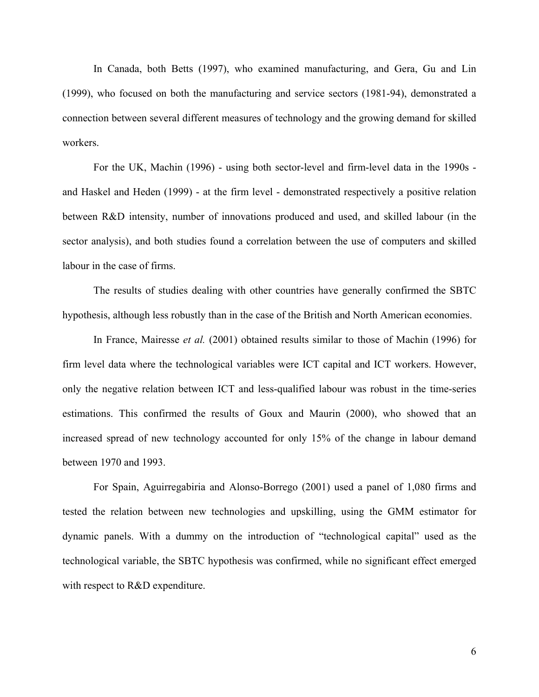In Canada, both Betts (1997), who examined manufacturing, and Gera, Gu and Lin (1999), who focused on both the manufacturing and service sectors (1981-94), demonstrated a connection between several different measures of technology and the growing demand for skilled workers.

For the UK, Machin (1996) - using both sector-level and firm-level data in the 1990s and Haskel and Heden (1999) - at the firm level - demonstrated respectively a positive relation between R&D intensity, number of innovations produced and used, and skilled labour (in the sector analysis), and both studies found a correlation between the use of computers and skilled labour in the case of firms.

The results of studies dealing with other countries have generally confirmed the SBTC hypothesis, although less robustly than in the case of the British and North American economies.

In France, Mairesse *et al.* (2001) obtained results similar to those of Machin (1996) for firm level data where the technological variables were ICT capital and ICT workers. However, only the negative relation between ICT and less-qualified labour was robust in the time-series estimations. This confirmed the results of Goux and Maurin (2000), who showed that an increased spread of new technology accounted for only 15% of the change in labour demand between 1970 and 1993.

For Spain, Aguirregabiria and Alonso-Borrego (2001) used a panel of 1,080 firms and tested the relation between new technologies and upskilling, using the GMM estimator for dynamic panels. With a dummy on the introduction of "technological capital" used as the technological variable, the SBTC hypothesis was confirmed, while no significant effect emerged with respect to R&D expenditure.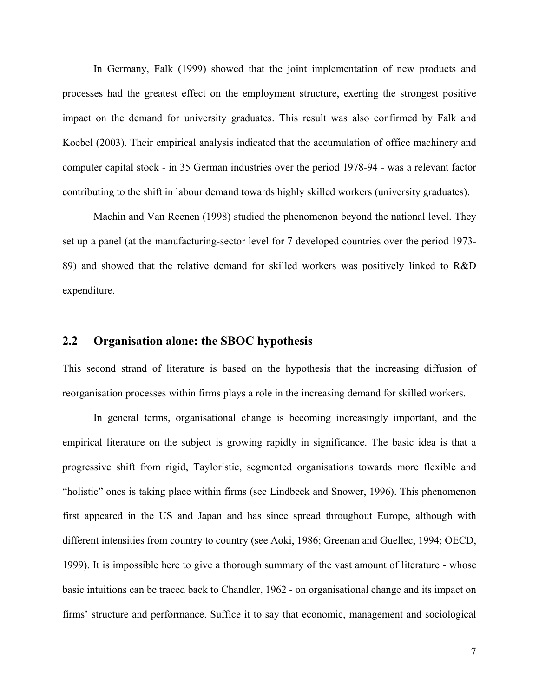In Germany, Falk (1999) showed that the joint implementation of new products and processes had the greatest effect on the employment structure, exerting the strongest positive impact on the demand for university graduates. This result was also confirmed by Falk and Koebel (2003). Their empirical analysis indicated that the accumulation of office machinery and computer capital stock - in 35 German industries over the period 1978-94 - was a relevant factor contributing to the shift in labour demand towards highly skilled workers (university graduates).

Machin and Van Reenen (1998) studied the phenomenon beyond the national level. They set up a panel (at the manufacturing-sector level for 7 developed countries over the period 1973- 89) and showed that the relative demand for skilled workers was positively linked to R&D expenditure.

#### **2.2 Organisation alone: the SBOC hypothesis**

This second strand of literature is based on the hypothesis that the increasing diffusion of reorganisation processes within firms plays a role in the increasing demand for skilled workers.

In general terms, organisational change is becoming increasingly important, and the empirical literature on the subject is growing rapidly in significance. The basic idea is that a progressive shift from rigid, Tayloristic, segmented organisations towards more flexible and "holistic" ones is taking place within firms (see Lindbeck and Snower, 1996). This phenomenon first appeared in the US and Japan and has since spread throughout Europe, although with different intensities from country to country (see Aoki, 1986; Greenan and Guellec, 1994; OECD, 1999). It is impossible here to give a thorough summary of the vast amount of literature - whose basic intuitions can be traced back to Chandler, 1962 - on organisational change and its impact on firms' structure and performance. Suffice it to say that economic, management and sociological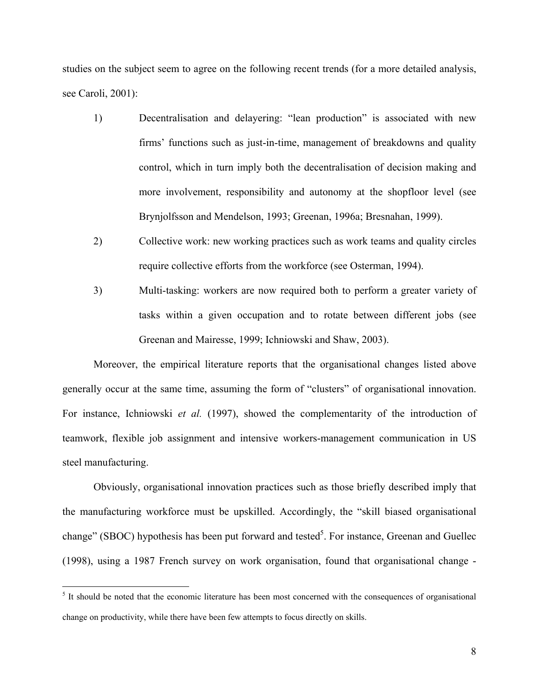studies on the subject seem to agree on the following recent trends (for a more detailed analysis, see Caroli, 2001):

- 1) Decentralisation and delayering: "lean production" is associated with new firms' functions such as just-in-time, management of breakdowns and quality control, which in turn imply both the decentralisation of decision making and more involvement, responsibility and autonomy at the shopfloor level (see Brynjolfsson and Mendelson, 1993; Greenan, 1996a; Bresnahan, 1999).
- 2) Collective work: new working practices such as work teams and quality circles require collective efforts from the workforce (see Osterman, 1994).
- 3) Multi-tasking: workers are now required both to perform a greater variety of tasks within a given occupation and to rotate between different jobs (see Greenan and Mairesse, 1999; Ichniowski and Shaw, 2003).

Moreover, the empirical literature reports that the organisational changes listed above generally occur at the same time, assuming the form of "clusters" of organisational innovation. For instance, Ichniowski *et al.* (1997), showed the complementarity of the introduction of teamwork, flexible job assignment and intensive workers-management communication in US steel manufacturing.

Obviously, organisational innovation practices such as those briefly described imply that the manufacturing workforce must be upskilled. Accordingly, the "skill biased organisational change" (SBOC) hypothesis has been put forward and tested<sup>[5](#page-10-0)</sup>. For instance, Greenan and Guellec (1998), using a 1987 French survey on work organisation, found that organisational change -

<span id="page-10-0"></span><sup>&</sup>lt;sup>5</sup> It should be noted that the economic literature has been most concerned with the consequences of organisational change on productivity, while there have been few attempts to focus directly on skills.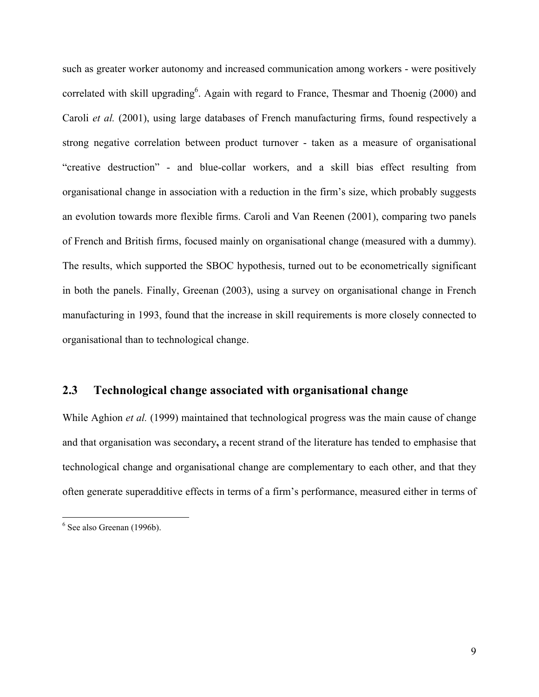such as greater worker autonomy and increased communication among workers - were positively correlated with skill upgrading<sup>6</sup>. Again with regard to France, Thesmar and Thoenig (2000) and Caroli *et al.* (2001), using large databases of French manufacturing firms, found respectively a strong negative correlation between product turnover - taken as a measure of organisational "creative destruction" - and blue-collar workers, and a skill bias effect resulting from organisational change in association with a reduction in the firm's size, which probably suggests an evolution towards more flexible firms. Caroli and Van Reenen (2001), comparing two panels of French and British firms, focused mainly on organisational change (measured with a dummy). The results, which supported the SBOC hypothesis, turned out to be econometrically significant in both the panels. Finally, Greenan (2003), using a survey on organisational change in French manufacturing in 1993, found that the increase in skill requirements is more closely connected to organisational than to technological change.

#### **2.3 Technological change associated with organisational change**

While Aghion *et al.* (1999) maintained that technological progress was the main cause of change and that organisation was secondary**,** a recent strand of the literature has tended to emphasise that technological change and organisational change are complementary to each other, and that they often generate superadditive effects in terms of a firm's performance, measured either in terms of

<span id="page-11-0"></span><sup>6</sup> See also Greenan (1996b).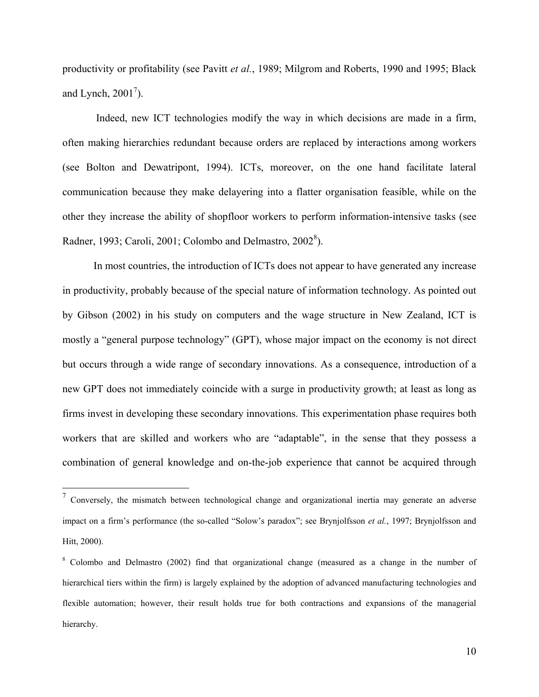productivity or profitability (see Pavitt *et al.*, 1989; Milgrom and Roberts, 1990 and 1995; Black and Lynch,  $2001^7$  $2001^7$ ).

Indeed, new ICT technologies modify the way in which decisions are made in a firm, often making hierarchies redundant because orders are replaced by interactions among workers (see Bolton and Dewatripont, 1994). ICTs, moreover, on the one hand facilitate lateral communication because they make delayering into a flatter organisation feasible, while on the other they increase the ability of shopfloor workers to perform information-intensive tasks (see Radner, 1993; Caroli, 2001; Colombo and Delmastro,  $2002^8$  $2002^8$ ).

In most countries, the introduction of ICTs does not appear to have generated any increase in productivity, probably because of the special nature of information technology. As pointed out by Gibson (2002) in his study on computers and the wage structure in New Zealand, ICT is mostly a "general purpose technology" (GPT), whose major impact on the economy is not direct but occurs through a wide range of secondary innovations. As a consequence, introduction of a new GPT does not immediately coincide with a surge in productivity growth; at least as long as firms invest in developing these secondary innovations. This experimentation phase requires both workers that are skilled and workers who are "adaptable", in the sense that they possess a combination of general knowledge and on-the-job experience that cannot be acquired through

<span id="page-12-0"></span><sup>7</sup> Conversely, the mismatch between technological change and organizational inertia may generate an adverse impact on a firm's performance (the so-called "Solow's paradox"; see Brynjolfsson *et al.*, 1997; Brynjolfsson and Hitt, 2000).

<span id="page-12-1"></span><sup>&</sup>lt;sup>8</sup> Colombo and Delmastro (2002) find that organizational change (measured as a change in the number of hierarchical tiers within the firm) is largely explained by the adoption of advanced manufacturing technologies and flexible automation; however, their result holds true for both contractions and expansions of the managerial hierarchy.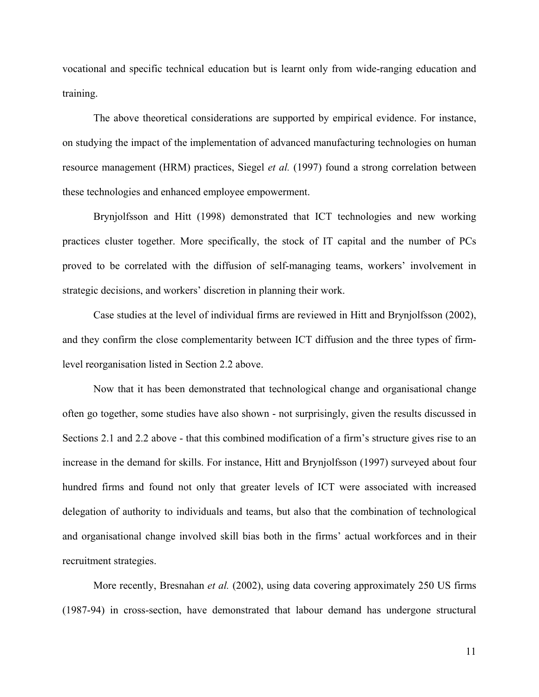vocational and specific technical education but is learnt only from wide-ranging education and training.

The above theoretical considerations are supported by empirical evidence. For instance, on studying the impact of the implementation of advanced manufacturing technologies on human resource management (HRM) practices, Siegel *et al.* (1997) found a strong correlation between these technologies and enhanced employee empowerment.

Brynjolfsson and Hitt (1998) demonstrated that ICT technologies and new working practices cluster together. More specifically, the stock of IT capital and the number of PCs proved to be correlated with the diffusion of self-managing teams, workers' involvement in strategic decisions, and workers' discretion in planning their work.

Case studies at the level of individual firms are reviewed in Hitt and Brynjolfsson (2002), and they confirm the close complementarity between ICT diffusion and the three types of firmlevel reorganisation listed in Section 2.2 above.

Now that it has been demonstrated that technological change and organisational change often go together, some studies have also shown - not surprisingly, given the results discussed in Sections 2.1 and 2.2 above - that this combined modification of a firm's structure gives rise to an increase in the demand for skills. For instance, Hitt and Brynjolfsson (1997) surveyed about four hundred firms and found not only that greater levels of ICT were associated with increased delegation of authority to individuals and teams, but also that the combination of technological and organisational change involved skill bias both in the firms' actual workforces and in their recruitment strategies.

More recently, Bresnahan *et al.* (2002), using data covering approximately 250 US firms (1987-94) in cross-section, have demonstrated that labour demand has undergone structural

11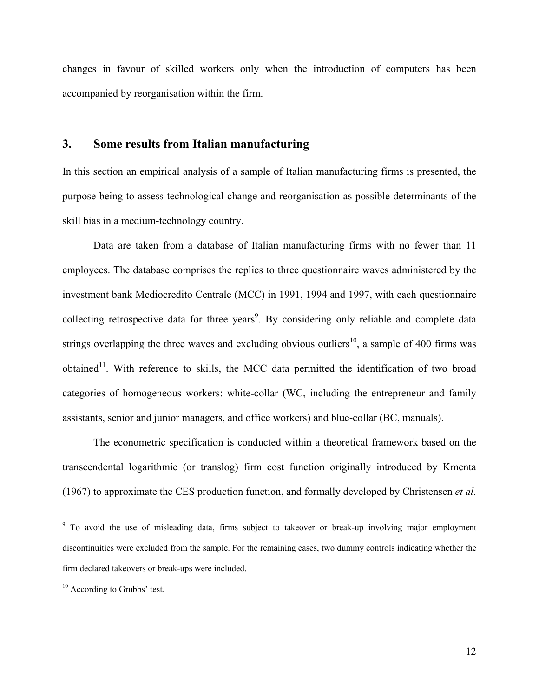changes in favour of skilled workers only when the introduction of computers has been accompanied by reorganisation within the firm.

#### **3. Some results from Italian manufacturing**

In this section an empirical analysis of a sample of Italian manufacturing firms is presented, the purpose being to assess technological change and reorganisation as possible determinants of the skill bias in a medium-technology country.

Data are taken from a database of Italian manufacturing firms with no fewer than 11 employees. The database comprises the replies to three questionnaire waves administered by the investment bank Mediocredito Centrale (MCC) in 1991, 1994 and 1997, with each questionnaire collecting retrospective data for three years<sup>[9](#page-14-0)</sup>. By considering only reliable and complete data strings overlapping the three waves and excluding obvious outliers<sup>10</sup>, a sample of 400 firms was obtained<sup>11</sup>. With reference to skills, the MCC data permitted the identification of two broad categories of homogeneous workers: white-collar (WC, including the entrepreneur and family assistants, senior and junior managers, and office workers) and blue-collar (BC, manuals).

<span id="page-14-2"></span>The econometric specification is conducted within a theoretical framework based on the transcendental logarithmic (or translog) firm cost function originally introduced by Kmenta (1967) to approximate the CES production function, and formally developed by Christensen *et al.*

<span id="page-14-0"></span><sup>&</sup>lt;sup>9</sup> To avoid the use of misleading data, firms subject to takeover or break-up involving major employment discontinuities were excluded from the sample. For the remaining cases, two dummy controls indicating whether the firm declared takeovers or break-ups were included.

<span id="page-14-1"></span><sup>&</sup>lt;sup>10</sup> According to Grubbs' test.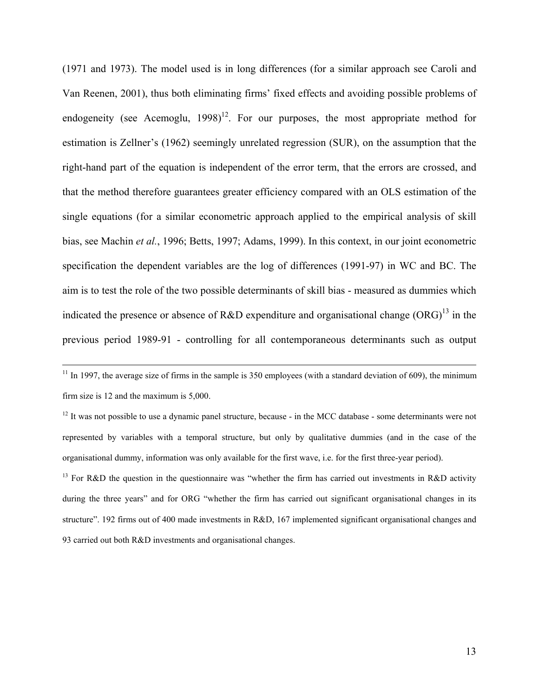(1971 and 1973). The model used is in long differences (for a similar approach see Caroli and Van Reenen, 2001), thus both eliminating firms' fixed effects and avoiding possible problems of endogeneity (see Acemoglu,  $1998$ )<sup>12</sup>. For our purposes, the most appropriate method for estimation is Zellner's (1962) seemingly unrelated regression (SUR), on the assumption that the right-hand part of the equation is independent of the error term, that the errors are crossed, and that the method therefore guarantees greater efficiency compared with an OLS estimation of the single equations (for a similar econometric approach applied to the empirical analysis of skill bias, see Machin *et al.*, 1996; Betts, 1997; Adams, 1999). In this context, in our joint econometric specification the dependent variables are the log of differences (1991-97) in WC and BC. The aim is to test the role of the two possible determinants of skill bias - measured as dummies which indicated the presence or absence of R&D expenditure and organisational change  $(ORG)^{13}$  in the previous period 1989-91 - controlling for all contemporaneous determinants such as output

 $11$  In 1997, the average size of firms in the sample is 350 employees (with a standard deviation of 609), the minimum firm size is 12 and the maximum is 5,000.

<span id="page-15-0"></span> $12$  It was not possible to use a dynamic panel structure, because - in the MCC database - some determinants were not represented by variables with a temporal structure, but only by qualitative dummies (and in the case of the organisational dummy, information was only available for the first wave, i.e. for the first three-year period).

<span id="page-15-1"></span><sup>&</sup>lt;sup>13</sup> For R&D the question in the questionnaire was "whether the firm has carried out investments in R&D activity during the three years" and for ORG "whether the firm has carried out significant organisational changes in its structure". 192 firms out of 400 made investments in R&D, 167 implemented significant organisational changes and 93 carried out both R&D investments and organisational changes.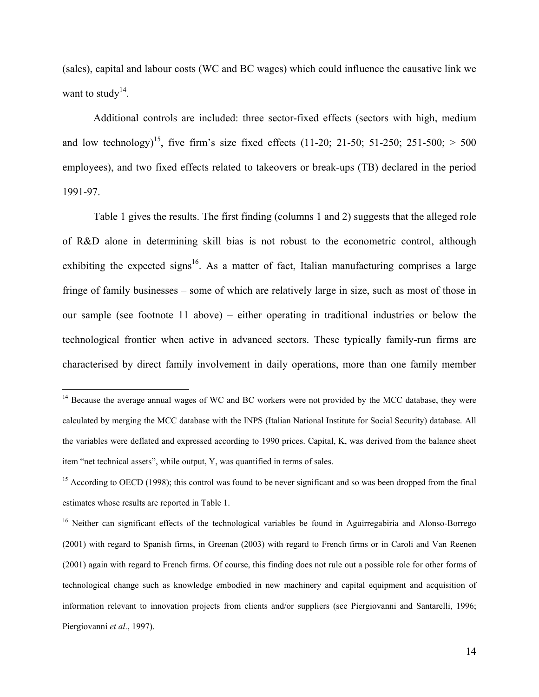(sales), capital and labour costs (WC and BC wages) which could influence the causative link we want to study<sup>14</sup>.

Additional controls are included: three sector-fixed effects (sectors with high, medium and low technology)<sup>15</sup>, five firm's size fixed effects (11-20; 21-50; 51-250; 251-500;  $> 500$ employees), and two fixed effects related to takeovers or break-ups (TB) declared in the period 1991-97.

Table 1 gives the results. The first finding (columns 1 and 2) suggests that the alleged role of R&D alone in determining skill bias is not robust to the econometric control, although exhibiting the expected signs<sup>16</sup>. As a matter of fact, Italian manufacturing comprises a large fringe of family businesses – some of which are relatively large in size, such as most of those in our sample (see footnote 11 above) – either operating in traditional industries or below the technological frontier when active in advanced sectors. These typically family-run firms are characterised by direct family involvement in daily operations, more than one family member

<span id="page-16-0"></span><sup>&</sup>lt;sup>14</sup> Because the average annual wages of WC and BC workers were not provided by the MCC database, they were calculated by merging the MCC database with the INPS (Italian National Institute for Social Security) database. All the variables were deflated and expressed according to 1990 prices. Capital, K, was derived from the balance sheet item "net technical assets", while output, Y, was quantified in terms of sales.

<span id="page-16-1"></span> $15$  According to OECD (1998); this control was found to be never significant and so was been dropped from the final estimates whose results are reported in Table 1.

<span id="page-16-2"></span><sup>&</sup>lt;sup>16</sup> Neither can significant effects of the technological variables be found in Aguirregabiria and Alonso-Borrego (2001) with regard to Spanish firms, in Greenan (2003) with regard to French firms or in Caroli and Van Reenen (2001) again with regard to French firms. Of course, this finding does not rule out a possible role for other forms of technological change such as knowledge embodied in new machinery and capital equipment and acquisition of information relevant to innovation projects from clients and/or suppliers (see Piergiovanni and Santarelli, 1996; Piergiovanni *et al*., 1997).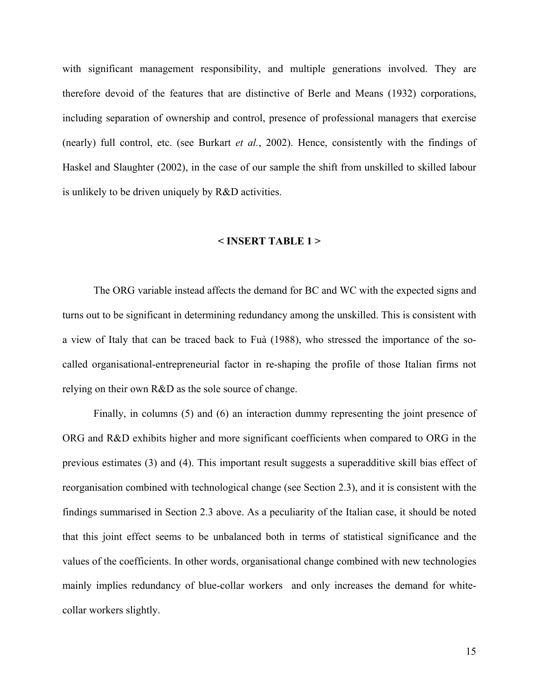with significant management responsibility, and multiple generations involved. They are therefore devoid of the features that are distinctive of Berle and Means (1932) corporations, including separation of ownership and control, presence of professional managers that exercise (nearly) full control, etc. (see Burkart *et al.*, 2002). Hence, consistently with the findings of Haskel and Slaughter (2002), in the case of our sample the shift from unskilled to skilled labour is unlikely to be driven uniquely by R&D activities.

#### **< INSERT TABLE 1 >**

The ORG variable instead affects the demand for BC and WC with the expected signs and turns out to be significant in determining redundancy among the unskilled. This is consistent with a view of Italy that can be traced back to Fuà (1988), who stressed the importance of the socalled organisational-entrepreneurial factor in re-shaping the profile of those Italian firms not relying on their own R&D as the sole source of change.

Finally, in columns (5) and (6) an interaction dummy representing the joint presence of ORG and R&D exhibits higher and more significant coefficients when compared to ORG in the previous estimates (3) and (4). This important result suggests a superadditive skill bias effect of reorganisation combined with technological change (see Section 2.3), and it is consistent with the findings summarised in Section 2.3 above. As a peculiarity of the Italian case, it should be noted that this joint effect seems to be unbalanced both in terms of statistical significance and the values of the coefficients. In other words, organisational change combined with new technologies mainly implies redundancy of blue-collar workers and only increases the demand for whitecollar workers slightly.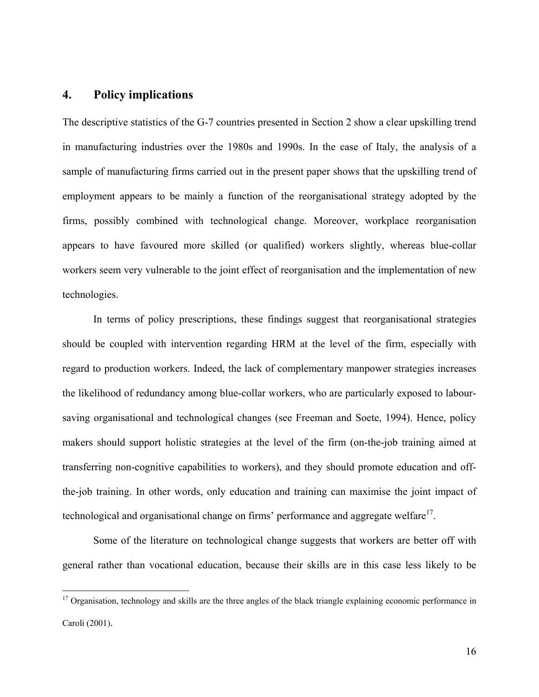#### **4. Policy implications**

 $\overline{a}$ 

The descriptive statistics of the G-7 countries presented in Section 2 show a clear upskilling trend in manufacturing industries over the 1980s and 1990s. In the case of Italy, the analysis of a sample of manufacturing firms carried out in the present paper shows that the upskilling trend of employment appears to be mainly a function of the reorganisational strategy adopted by the firms, possibly combined with technological change. Moreover, workplace reorganisation appears to have favoured more skilled (or qualified) workers slightly, whereas blue-collar workers seem very vulnerable to the joint effect of reorganisation and the implementation of new technologies.

In terms of policy prescriptions, these findings suggest that reorganisational strategies should be coupled with intervention regarding HRM at the level of the firm, especially with regard to production workers. Indeed, the lack of complementary manpower strategies increases the likelihood of redundancy among blue-collar workers, who are particularly exposed to laboursaving organisational and technological changes (see Freeman and Soete, 1994). Hence, policy makers should support holistic strategies at the level of the firm (on-the-job training aimed at transferring non-cognitive capabilities to workers), and they should promote education and offthe-job training. In other words, only education and training can maximise the joint impact of technological and organisational change on firms' performance and aggregate welfare $17$ .

Some of the literature on technological change suggests that workers are better off with general rather than vocational education, because their skills are in this case less likely to be

<span id="page-18-0"></span><sup>&</sup>lt;sup>17</sup> Organisation, technology and skills are the three angles of the black triangle explaining economic performance in Caroli (2001).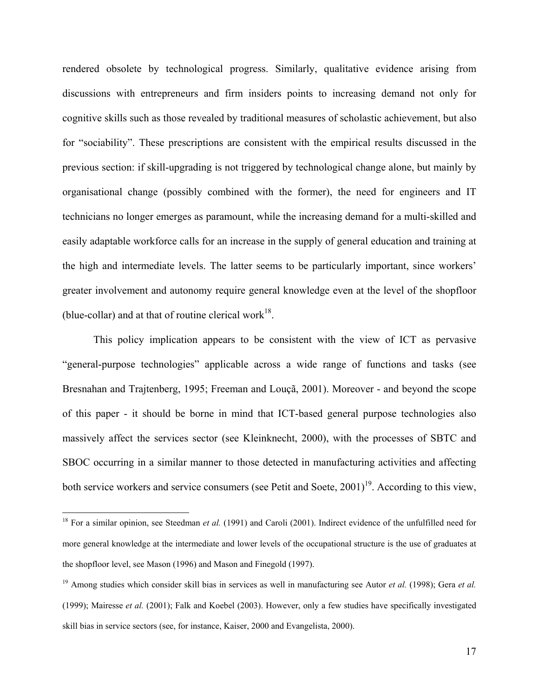rendered obsolete by technological progress. Similarly, qualitative evidence arising from discussions with entrepreneurs and firm insiders points to increasing demand not only for cognitive skills such as those revealed by traditional measures of scholastic achievement, but also for "sociability". These prescriptions are consistent with the empirical results discussed in the previous section: if skill-upgrading is not triggered by technological change alone, but mainly by organisational change (possibly combined with the former), the need for engineers and IT technicians no longer emerges as paramount, while the increasing demand for a multi-skilled and easily adaptable workforce calls for an increase in the supply of general education and training at the high and intermediate levels. The latter seems to be particularly important, since workers' greater involvement and autonomy require general knowledge even at the level of the shopfloor (blue-collar) and at that of routine clerical work $18$ .

This policy implication appears to be consistent with the view of ICT as pervasive "general-purpose technologies" applicable across a wide range of functions and tasks (see Bresnahan and Trajtenberg, 1995; Freeman and Louçã, 2001). Moreover - and beyond the scope of this paper - it should be borne in mind that ICT-based general purpose technologies also massively affect the services sector (see Kleinknecht, 2000), with the processes of SBTC and SBOC occurring in a similar manner to those detected in manufacturing activities and affecting both service workers and service consumers (see Petit and Soete,  $2001$ )<sup>19</sup>. According to this view,

<span id="page-19-0"></span><sup>&</sup>lt;sup>18</sup> For a similar opinion, see Steedman et al. (1991) and Caroli (2001). Indirect evidence of the unfulfilled need for more general knowledge at the intermediate and lower levels of the occupational structure is the use of graduates at the shopfloor level, see Mason (1996) and Mason and Finegold (1997).

<span id="page-19-1"></span><sup>19</sup> Among studies which consider skill bias in services as well in manufacturing see Autor *et al.* (1998); Gera *et al.* (1999); Mairesse *et al.* (2001); Falk and Koebel (2003). However, only a few studies have specifically investigated skill bias in service sectors (see, for instance, Kaiser, 2000 and Evangelista, 2000).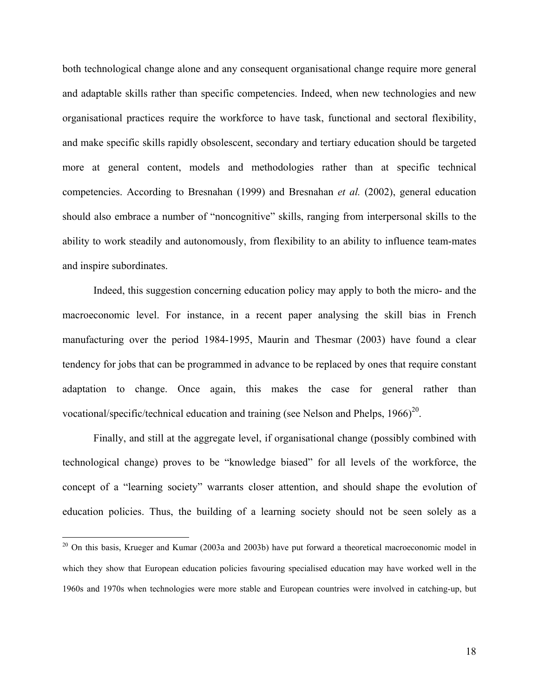both technological change alone and any consequent organisational change require more general and adaptable skills rather than specific competencies. Indeed, when new technologies and new organisational practices require the workforce to have task, functional and sectoral flexibility, and make specific skills rapidly obsolescent, secondary and tertiary education should be targeted more at general content, models and methodologies rather than at specific technical competencies. According to Bresnahan (1999) and Bresnahan *et al.* (2002), general education should also embrace a number of "noncognitive" skills, ranging from interpersonal skills to the ability to work steadily and autonomously, from flexibility to an ability to influence team-mates and inspire subordinates.

Indeed, this suggestion concerning education policy may apply to both the micro- and the macroeconomic level. For instance, in a recent paper analysing the skill bias in French manufacturing over the period 1984-1995, Maurin and Thesmar (2003) have found a clear tendency for jobs that can be programmed in advance to be replaced by ones that require constant adaptation to change. Once again, this makes the case for general rather than vocational/specific/technical education and training (see Nelson and Phelps,  $1966<sup>20</sup>$ .

Finally, and still at the aggregate level, if organisational change (possibly combined with technological change) proves to be "knowledge biased" for all levels of the workforce, the concept of a "learning society" warrants closer attention, and should shape the evolution of education policies. Thus, the building of a learning society should not be seen solely as a

<span id="page-20-0"></span><sup>&</sup>lt;sup>20</sup> On this basis, Krueger and Kumar (2003a and 2003b) have put forward a theoretical macroeconomic model in which they show that European education policies favouring specialised education may have worked well in the 1960s and 1970s when technologies were more stable and European countries were involved in catching-up, but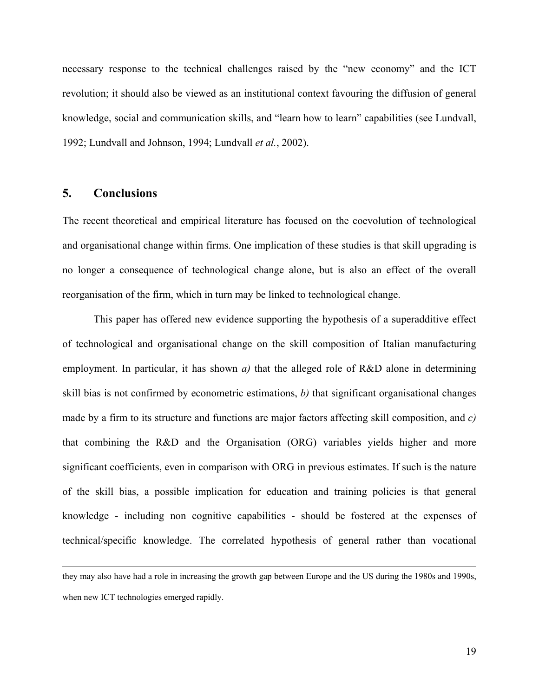necessary response to the technical challenges raised by the "new economy" and the ICT revolution; it should also be viewed as an institutional context favouring the diffusion of general knowledge, social and communication skills, and "learn how to learn" capabilities (see Lundvall, 1992; Lundvall and Johnson, 1994; Lundvall *et al.*, 2002).

#### **5. Conclusions**

 $\overline{a}$ 

The recent theoretical and empirical literature has focused on the coevolution of technological and organisational change within firms. One implication of these studies is that skill upgrading is no longer a consequence of technological change alone, but is also an effect of the overall reorganisation of the firm, which in turn may be linked to technological change.

This paper has offered new evidence supporting the hypothesis of a superadditive effect of technological and organisational change on the skill composition of Italian manufacturing employment. In particular, it has shown *a*) that the alleged role of R&D alone in determining skill bias is not confirmed by econometric estimations, *b)* that significant organisational changes made by a firm to its structure and functions are major factors affecting skill composition, and *c)* that combining the R&D and the Organisation (ORG) variables yields higher and more significant coefficients, even in comparison with ORG in previous estimates. If such is the nature of the skill bias, a possible implication for education and training policies is that general knowledge - including non cognitive capabilities - should be fostered at the expenses of technical/specific knowledge. The correlated hypothesis of general rather than vocational

they may also have had a role in increasing the growth gap between Europe and the US during the 1980s and 1990s, when new ICT technologies emerged rapidly.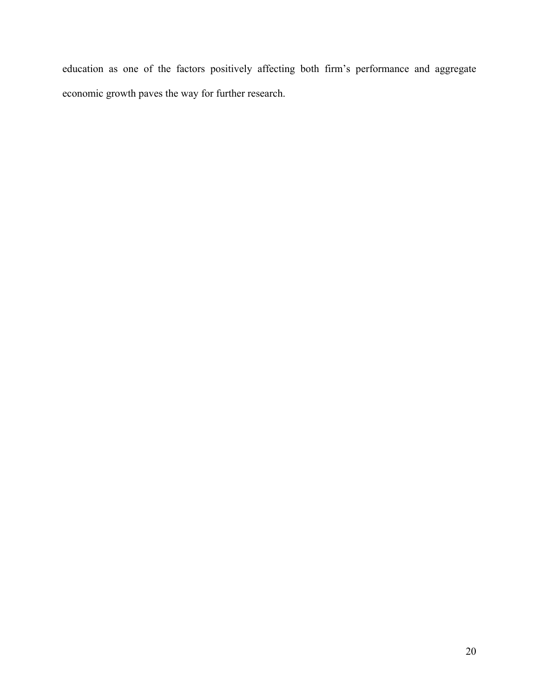education as one of the factors positively affecting both firm's performance and aggregate economic growth paves the way for further research.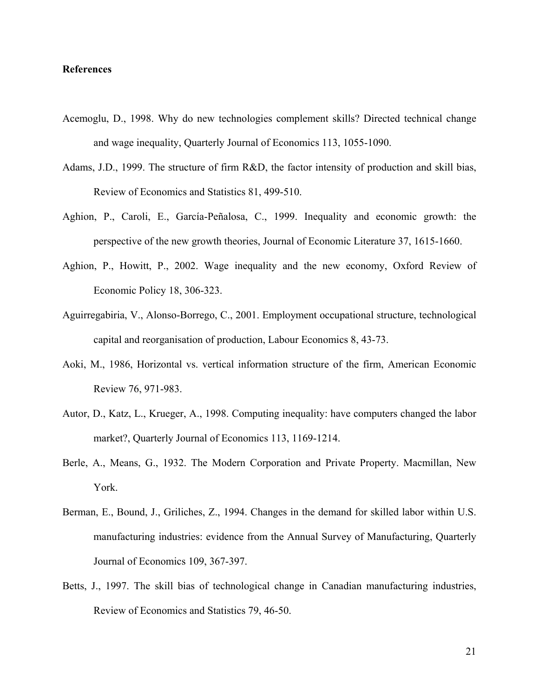#### **References**

- Acemoglu, D., 1998. Why do new technologies complement skills? Directed technical change and wage inequality, Quarterly Journal of Economics 113, 1055-1090.
- Adams, J.D., 1999. The structure of firm R&D, the factor intensity of production and skill bias, Review of Economics and Statistics 81, 499-510.
- Aghion, P., Caroli, E., García-Peñalosa, C., 1999. Inequality and economic growth: the perspective of the new growth theories, Journal of Economic Literature 37, 1615-1660.
- Aghion, P., Howitt, P., 2002. Wage inequality and the new economy, Oxford Review of Economic Policy 18, 306-323.
- Aguirregabiria, V., Alonso-Borrego, C., 2001. Employment occupational structure, technological capital and reorganisation of production, Labour Economics 8, 43-73.
- Aoki, M., 1986, Horizontal vs. vertical information structure of the firm, American Economic Review 76, 971-983.
- Autor, D., Katz, L., Krueger, A., 1998. Computing inequality: have computers changed the labor market?, Quarterly Journal of Economics 113, 1169-1214.
- Berle, A., Means, G., 1932. The Modern Corporation and Private Property. Macmillan, New York.
- Berman, E., Bound, J., Griliches, Z., 1994. Changes in the demand for skilled labor within U.S. manufacturing industries: evidence from the Annual Survey of Manufacturing, Quarterly Journal of Economics 109, 367-397.
- Betts, J., 1997. The skill bias of technological change in Canadian manufacturing industries, Review of Economics and Statistics 79, 46-50.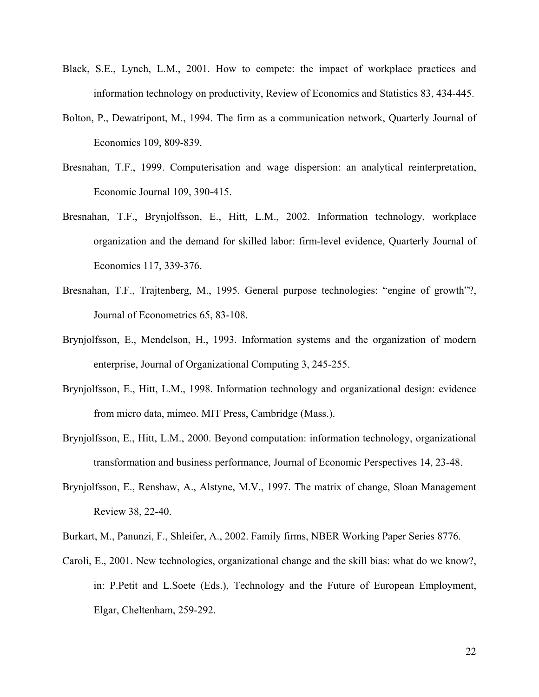- Black, S.E., Lynch, L.M., 2001. How to compete: the impact of workplace practices and information technology on productivity, Review of Economics and Statistics 83, 434-445.
- Bolton, P., Dewatripont, M., 1994. The firm as a communication network, Quarterly Journal of Economics 109, 809-839.
- Bresnahan, T.F., 1999. Computerisation and wage dispersion: an analytical reinterpretation, Economic Journal 109, 390-415.
- Bresnahan, T.F., Brynjolfsson, E., Hitt, L.M., 2002. Information technology, workplace organization and the demand for skilled labor: firm-level evidence, Quarterly Journal of Economics 117, 339-376.
- Bresnahan, T.F., Trajtenberg, M., 1995. General purpose technologies: "engine of growth"?, Journal of Econometrics 65, 83-108.
- Brynjolfsson, E., Mendelson, H., 1993. Information systems and the organization of modern enterprise, Journal of Organizational Computing 3, 245-255.
- Brynjolfsson, E., Hitt, L.M., 1998. Information technology and organizational design: evidence from micro data, mimeo. MIT Press, Cambridge (Mass.).
- Brynjolfsson, E., Hitt, L.M., 2000. Beyond computation: information technology, organizational transformation and business performance, Journal of Economic Perspectives 14, 23-48.
- Brynjolfsson, E., Renshaw, A., Alstyne, M.V., 1997. The matrix of change, Sloan Management Review 38, 22-40.
- Burkart, M., Panunzi, F., Shleifer, A., 2002. Family firms, NBER Working Paper Series 8776.
- Caroli, E., 2001. New technologies, organizational change and the skill bias: what do we know?, in: P.Petit and L.Soete (Eds.), Technology and the Future of European Employment, Elgar, Cheltenham, 259-292.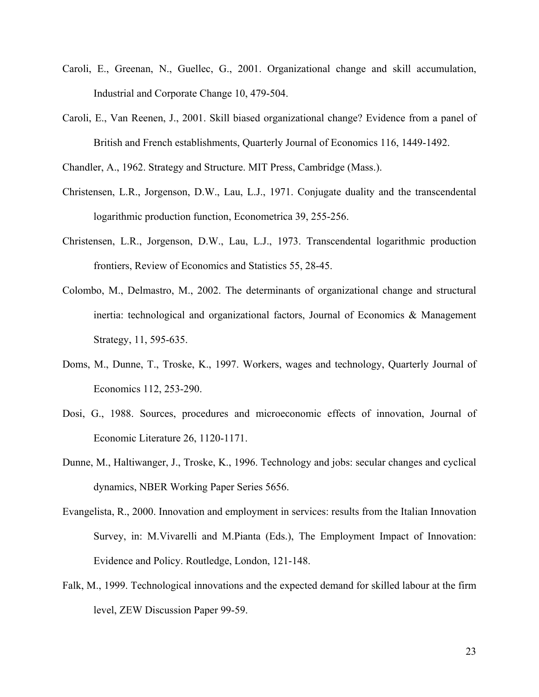- Caroli, E., Greenan, N., Guellec, G., 2001. Organizational change and skill accumulation, Industrial and Corporate Change 10, 479-504.
- Caroli, E., Van Reenen, J., 2001. Skill biased organizational change? Evidence from a panel of British and French establishments, Quarterly Journal of Economics 116, 1449-1492.

Chandler, A., 1962. Strategy and Structure. MIT Press, Cambridge (Mass.).

- Christensen, L.R., Jorgenson, D.W., Lau, L.J., 1971. Conjugate duality and the transcendental logarithmic production function, Econometrica 39, 255-256.
- Christensen, L.R., Jorgenson, D.W., Lau, L.J., 1973. Transcendental logarithmic production frontiers, Review of Economics and Statistics 55, 28-45.
- Colombo, M., Delmastro, M., 2002. The determinants of organizational change and structural inertia: technological and organizational factors, Journal of Economics & Management Strategy, 11, 595-635.
- Doms, M., Dunne, T., Troske, K., 1997. Workers, wages and technology, Quarterly Journal of Economics 112, 253-290.
- Dosi, G., 1988. Sources, procedures and microeconomic effects of innovation, Journal of Economic Literature 26, 1120-1171.
- Dunne, M., Haltiwanger, J., Troske, K., 1996. Technology and jobs: secular changes and cyclical dynamics, NBER Working Paper Series 5656.
- Evangelista, R., 2000. Innovation and employment in services: results from the Italian Innovation Survey, in: M.Vivarelli and M.Pianta (Eds.), The Employment Impact of Innovation: Evidence and Policy. Routledge, London, 121-148.
- Falk, M., 1999. Technological innovations and the expected demand for skilled labour at the firm level, ZEW Discussion Paper 99-59.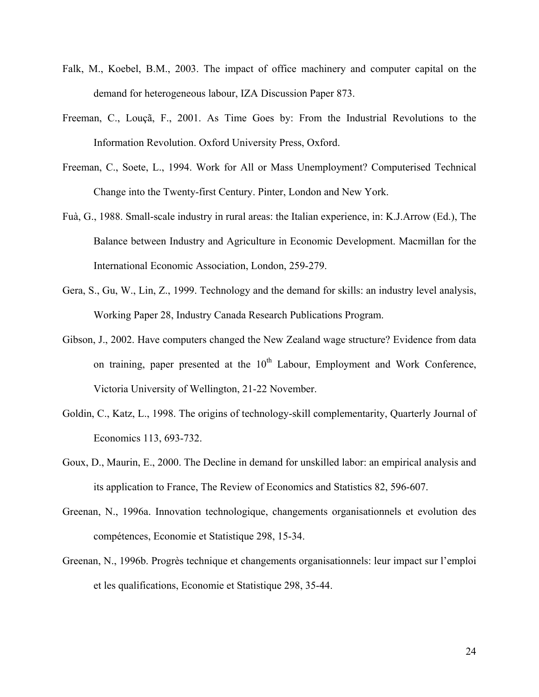- Falk, M., Koebel, B.M., 2003. The impact of office machinery and computer capital on the demand for heterogeneous labour, IZA Discussion Paper 873.
- Freeman, C., Louçã, F., 2001. As Time Goes by: From the Industrial Revolutions to the Information Revolution. Oxford University Press, Oxford.
- Freeman, C., Soete, L., 1994. Work for All or Mass Unemployment? Computerised Technical Change into the Twenty-first Century. Pinter, London and New York.
- Fuà, G., 1988. Small-scale industry in rural areas: the Italian experience, in: K.J.Arrow (Ed.), The Balance between Industry and Agriculture in Economic Development. Macmillan for the International Economic Association, London, 259-279.
- Gera, S., Gu, W., Lin, Z., 1999. Technology and the demand for skills: an industry level analysis, Working Paper 28, Industry Canada Research Publications Program.
- Gibson, J., 2002. Have computers changed the New Zealand wage structure? Evidence from data on training, paper presented at the  $10<sup>th</sup>$  Labour, Employment and Work Conference, Victoria University of Wellington, 21-22 November.
- Goldin, C., Katz, L., 1998. The origins of technology-skill complementarity, Quarterly Journal of Economics 113, 693-732.
- Goux, D., Maurin, E., 2000. The Decline in demand for unskilled labor: an empirical analysis and its application to France, The Review of Economics and Statistics 82, 596-607.
- Greenan, N., 1996a. Innovation technologique, changements organisationnels et evolution des compétences, Economie et Statistique 298, 15-34.
- Greenan, N., 1996b. Progrès technique et changements organisationnels: leur impact sur l'emploi et les qualifications, Economie et Statistique 298, 35-44.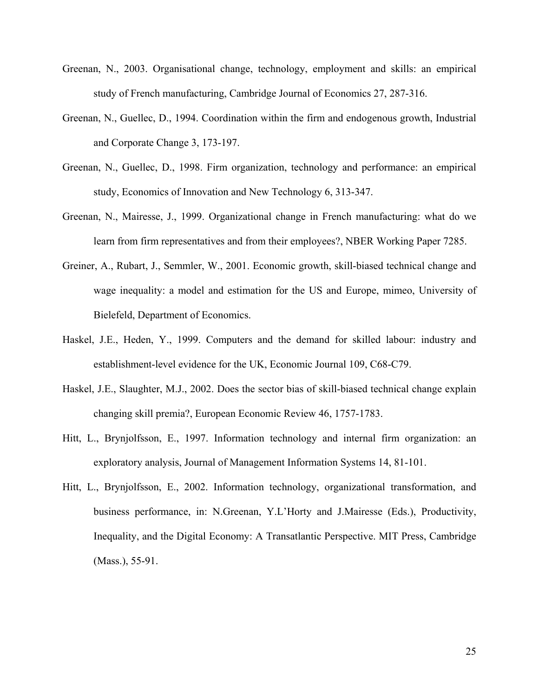- Greenan, N., 2003. Organisational change, technology, employment and skills: an empirical study of French manufacturing, Cambridge Journal of Economics 27, 287-316.
- Greenan, N., Guellec, D., 1994. Coordination within the firm and endogenous growth, Industrial and Corporate Change 3, 173-197.
- Greenan, N., Guellec, D., 1998. Firm organization, technology and performance: an empirical study, Economics of Innovation and New Technology 6, 313-347.
- Greenan, N., Mairesse, J., 1999. Organizational change in French manufacturing: what do we learn from firm representatives and from their employees?, NBER Working Paper 7285.
- Greiner, A., Rubart, J., Semmler, W., 2001. Economic growth, skill-biased technical change and wage inequality: a model and estimation for the US and Europe, mimeo, University of Bielefeld, Department of Economics.
- Haskel, J.E., Heden, Y., 1999. Computers and the demand for skilled labour: industry and establishment-level evidence for the UK, Economic Journal 109, C68-C79.
- Haskel, J.E., Slaughter, M.J., 2002. Does the sector bias of skill-biased technical change explain changing skill premia?, European Economic Review 46, 1757-1783.
- Hitt, L., Brynjolfsson, E., 1997. Information technology and internal firm organization: an exploratory analysis, Journal of Management Information Systems 14, 81-101.
- Hitt, L., Brynjolfsson, E., 2002. Information technology, organizational transformation, and business performance, in: N.Greenan, Y.L'Horty and J.Mairesse (Eds.), Productivity, Inequality, and the Digital Economy: A Transatlantic Perspective. MIT Press, Cambridge (Mass.), 55-91.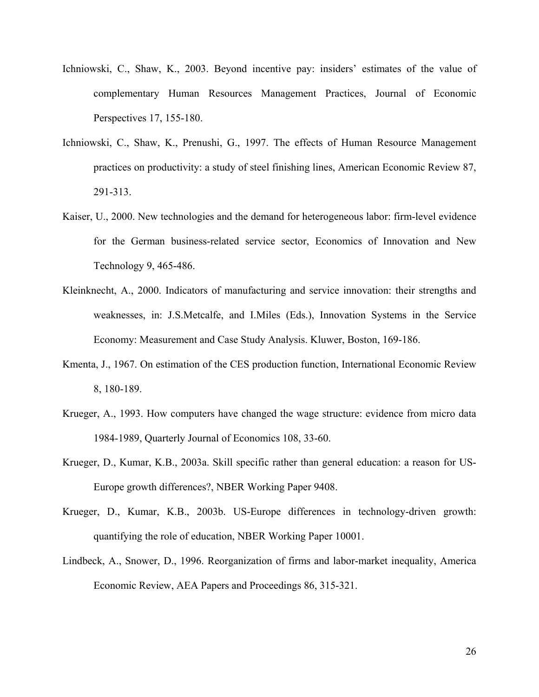- Ichniowski, C., Shaw, K., 2003. Beyond incentive pay: insiders' estimates of the value of complementary Human Resources Management Practices, Journal of Economic Perspectives 17, 155-180.
- Ichniowski, C., Shaw, K., Prenushi, G., 1997. The effects of Human Resource Management practices on productivity: a study of steel finishing lines, American Economic Review 87, 291-313.
- Kaiser, U., 2000. New technologies and the demand for heterogeneous labor: firm-level evidence for the German business-related service sector, Economics of Innovation and New Technology 9, 465-486.
- Kleinknecht, A., 2000. Indicators of manufacturing and service innovation: their strengths and weaknesses, in: J.S.Metcalfe, and I.Miles (Eds.), Innovation Systems in the Service Economy: Measurement and Case Study Analysis. Kluwer, Boston, 169-186.
- Kmenta, J., 1967. On estimation of the CES production function, International Economic Review 8, 180-189.
- Krueger, A., 1993. How computers have changed the wage structure: evidence from micro data 1984-1989, Quarterly Journal of Economics 108, 33-60.
- Krueger, D., Kumar, K.B., 2003a. Skill specific rather than general education: a reason for US-Europe growth differences?, NBER Working Paper 9408.
- Krueger, D., Kumar, K.B., 2003b. US-Europe differences in technology-driven growth: quantifying the role of education, NBER Working Paper 10001.
- Lindbeck, A., Snower, D., 1996. Reorganization of firms and labor-market inequality, America Economic Review, AEA Papers and Proceedings 86, 315-321.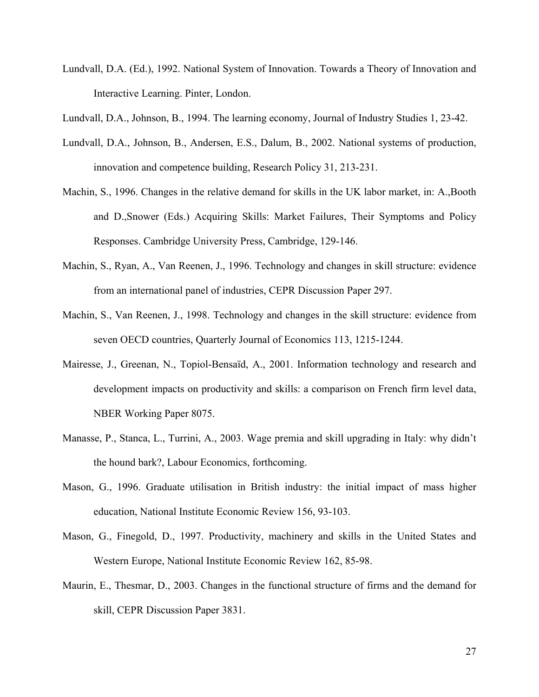- Lundvall, D.A. (Ed.), 1992. National System of Innovation. Towards a Theory of Innovation and Interactive Learning. Pinter, London.
- Lundvall, D.A., Johnson, B., 1994. The learning economy, Journal of Industry Studies 1, 23-42.
- Lundvall, D.A., Johnson, B., Andersen, E.S., Dalum, B., 2002. National systems of production, innovation and competence building, Research Policy 31, 213-231.
- Machin, S., 1996. Changes in the relative demand for skills in the UK labor market, in: A.,Booth and D.,Snower (Eds.) Acquiring Skills: Market Failures, Their Symptoms and Policy Responses. Cambridge University Press, Cambridge, 129-146.
- Machin, S., Ryan, A., Van Reenen, J., 1996. Technology and changes in skill structure: evidence from an international panel of industries, CEPR Discussion Paper 297.
- Machin, S., Van Reenen, J., 1998. Technology and changes in the skill structure: evidence from seven OECD countries, Quarterly Journal of Economics 113, 1215-1244.
- Mairesse, J., Greenan, N., Topiol-Bensaïd, A., 2001. Information technology and research and development impacts on productivity and skills: a comparison on French firm level data, NBER Working Paper 8075.
- Manasse, P., Stanca, L., Turrini, A., 2003. Wage premia and skill upgrading in Italy: why didn't the hound bark?, Labour Economics, forthcoming.
- Mason, G., 1996. Graduate utilisation in British industry: the initial impact of mass higher education, National Institute Economic Review 156, 93-103.
- Mason, G., Finegold, D., 1997. Productivity, machinery and skills in the United States and Western Europe, National Institute Economic Review 162, 85-98.
- Maurin, E., Thesmar, D., 2003. Changes in the functional structure of firms and the demand for skill, CEPR Discussion Paper 3831.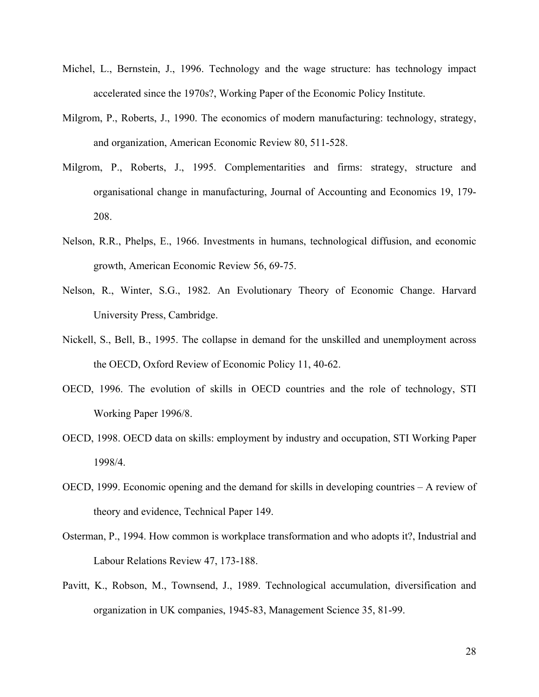- Michel, L., Bernstein, J., 1996. Technology and the wage structure: has technology impact accelerated since the 1970s?, Working Paper of the Economic Policy Institute.
- Milgrom, P., Roberts, J., 1990. The economics of modern manufacturing: technology, strategy, and organization, American Economic Review 80, 511-528.
- Milgrom, P., Roberts, J., 1995. Complementarities and firms: strategy, structure and organisational change in manufacturing, Journal of Accounting and Economics 19, 179- 208.
- Nelson, R.R., Phelps, E., 1966. Investments in humans, technological diffusion, and economic growth, American Economic Review 56, 69-75.
- Nelson, R., Winter, S.G., 1982. An Evolutionary Theory of Economic Change. Harvard University Press, Cambridge.
- Nickell, S., Bell, B., 1995. The collapse in demand for the unskilled and unemployment across the OECD, Oxford Review of Economic Policy 11, 40-62.
- OECD, 1996. The evolution of skills in OECD countries and the role of technology, STI Working Paper 1996/8.
- OECD, 1998. OECD data on skills: employment by industry and occupation, STI Working Paper 1998/4.
- OECD, 1999. Economic opening and the demand for skills in developing countries A review of theory and evidence, Technical Paper 149.
- Osterman, P., 1994. How common is workplace transformation and who adopts it?, Industrial and Labour Relations Review 47, 173-188.
- Pavitt, K., Robson, M., Townsend, J., 1989. Technological accumulation, diversification and organization in UK companies, 1945-83, Management Science 35, 81-99.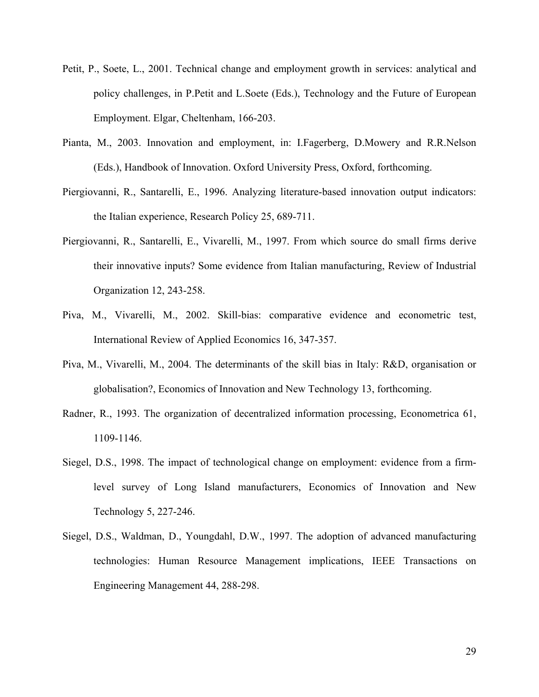- Petit, P., Soete, L., 2001. Technical change and employment growth in services: analytical and policy challenges, in P.Petit and L.Soete (Eds.), Technology and the Future of European Employment. Elgar, Cheltenham, 166-203.
- Pianta, M., 2003. Innovation and employment, in: I.Fagerberg, D.Mowery and R.R.Nelson (Eds.), Handbook of Innovation. Oxford University Press, Oxford, forthcoming.
- Piergiovanni, R., Santarelli, E., 1996. Analyzing literature-based innovation output indicators: the Italian experience, Research Policy 25, 689-711.
- Piergiovanni, R., Santarelli, E., Vivarelli, M., 1997. From which source do small firms derive their innovative inputs? Some evidence from Italian manufacturing, Review of Industrial Organization 12, 243-258.
- Piva, M., Vivarelli, M., 2002. Skill-bias: comparative evidence and econometric test, International Review of Applied Economics 16, 347-357.
- Piva, M., Vivarelli, M., 2004. The determinants of the skill bias in Italy: R&D, organisation or globalisation?, Economics of Innovation and New Technology 13, forthcoming.
- Radner, R., 1993. The organization of decentralized information processing, Econometrica 61, 1109-1146.
- Siegel, D.S., 1998. The impact of technological change on employment: evidence from a firmlevel survey of Long Island manufacturers, Economics of Innovation and New Technology 5, 227-246.
- Siegel, D.S., Waldman, D., Youngdahl, D.W., 1997. The adoption of advanced manufacturing technologies: Human Resource Management implications, IEEE Transactions on Engineering Management 44, 288-298.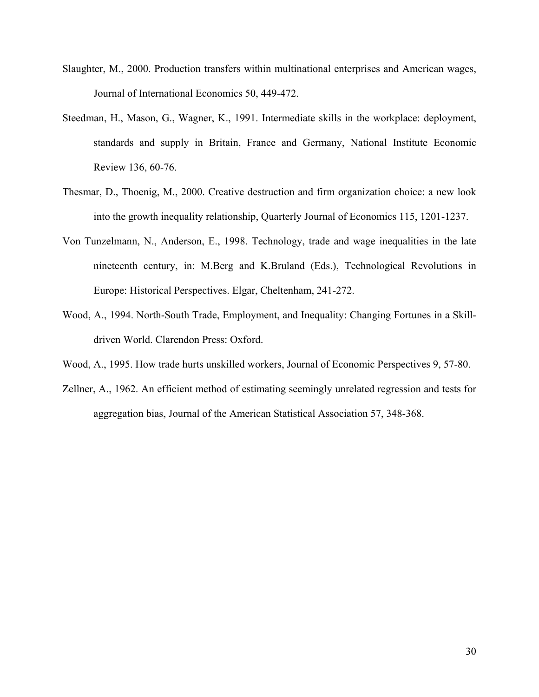- Slaughter, M., 2000. Production transfers within multinational enterprises and American wages, Journal of International Economics 50, 449-472.
- Steedman, H., Mason, G., Wagner, K., 1991. Intermediate skills in the workplace: deployment, standards and supply in Britain, France and Germany, National Institute Economic Review 136, 60-76.
- Thesmar, D., Thoenig, M., 2000. Creative destruction and firm organization choice: a new look into the growth inequality relationship, Quarterly Journal of Economics 115, 1201-1237.
- Von Tunzelmann, N., Anderson, E., 1998. Technology, trade and wage inequalities in the late nineteenth century, in: M.Berg and K.Bruland (Eds.), Technological Revolutions in Europe: Historical Perspectives. Elgar, Cheltenham, 241-272.
- Wood, A., 1994. North-South Trade, Employment, and Inequality: Changing Fortunes in a Skilldriven World. Clarendon Press: Oxford.
- Wood, A., 1995. How trade hurts unskilled workers, Journal of Economic Perspectives 9, 57-80.
- Zellner, A., 1962. An efficient method of estimating seemingly unrelated regression and tests for aggregation bias, Journal of the American Statistical Association 57, 348-368.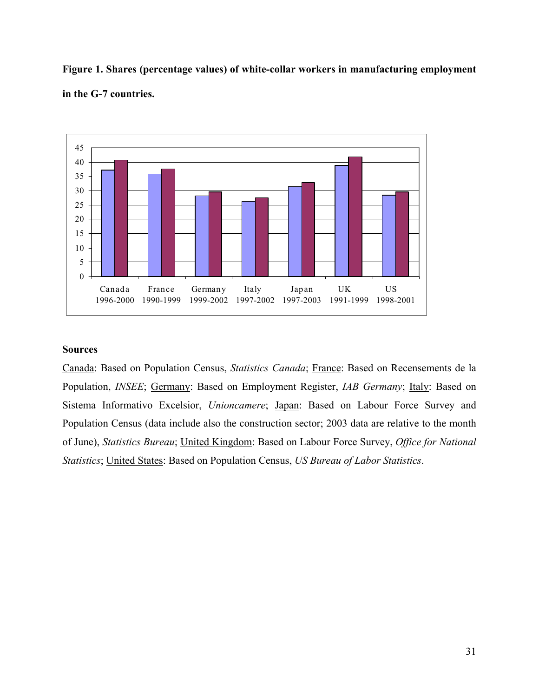**Figure 1. Shares (percentage values) of white-collar workers in manufacturing employment in the G-7 countries.** 



#### **Sources**

Canada: Based on Population Census, *Statistics Canada*; France: Based on Recensements de la Population, *INSEE*; Germany: Based on Employment Register, *IAB Germany*; Italy: Based on Sistema Informativo Excelsior, *Unioncamere*; Japan: Based on Labour Force Survey and Population Census (data include also the construction sector; 2003 data are relative to the month of June), *Statistics Bureau*; United Kingdom: Based on Labour Force Survey, *Office for National Statistics*; United States: Based on Population Census, *US Bureau of Labor Statistics*.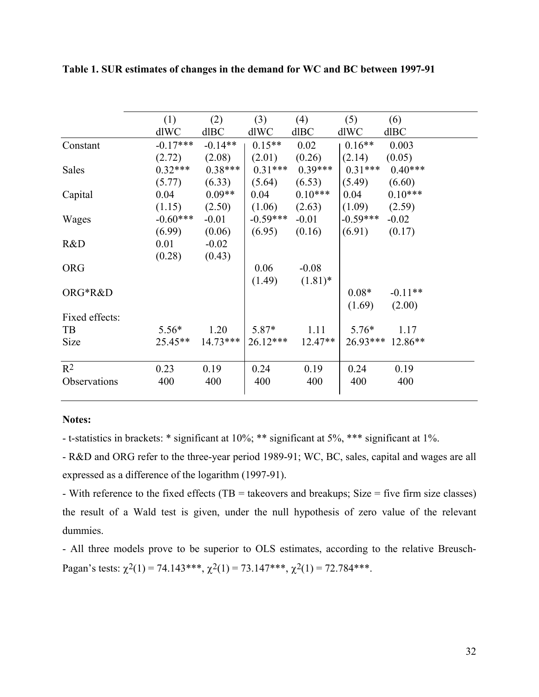|                | (1)        | (2)        | (3)        | (4)        | (5)        | (6)              |
|----------------|------------|------------|------------|------------|------------|------------------|
|                | dlWC       | dlBC       | dlWC       | dlBC       | dlWC       | dlBC             |
| Constant       | $-0.17***$ | $-0.14**$  | $0.15**$   | 0.02       | $0.16**$   | 0.003            |
|                | (2.72)     | (2.08)     | (2.01)     | (0.26)     | (2.14)     | (0.05)           |
| Sales          | $0.32***$  | $0.38***$  | $0.31***$  | $0.39***$  | $0.31***$  | $0.40***$        |
|                | (5.77)     | (6.33)     | (5.64)     | (6.53)     | (5.49)     | (6.60)           |
| Capital        | 0.04       | $0.09**$   | 0.04       | $0.10***$  | 0.04       | $0.10***$        |
|                | (1.15)     | (2.50)     | (1.06)     | (2.63)     | (1.09)     | (2.59)           |
| Wages          | $-0.60***$ | $-0.01$    | $-0.59***$ | $-0.01$    | $-0.59***$ | $-0.02$          |
|                | (6.99)     | (0.06)     | (6.95)     | (0.16)     | (6.91)     | (0.17)           |
| R&D            | 0.01       | $-0.02$    |            |            |            |                  |
|                | (0.28)     | (0.43)     |            |            |            |                  |
| <b>ORG</b>     |            |            | 0.06       | $-0.08$    |            |                  |
|                |            |            | (1.49)     | $(1.81)$ * |            |                  |
| ORG*R&D        |            |            |            |            | $0.08*$    | $-0.11**$        |
|                |            |            |            |            | (1.69)     | (2.00)           |
| Fixed effects: |            |            |            |            |            |                  |
| TB             | $5.56*$    | 1.20       | $5.87*$    | 1.11       | $5.76*$    | 1.17             |
| Size           | $25.45**$  | $14.73***$ | $26.12***$ | $12.47**$  |            | 26.93*** 12.86** |
|                |            |            |            |            |            |                  |
| $R^2$          | 0.23       | 0.19       | 0.24       | 0.19       | 0.24       | 0.19             |
| Observations   | 400        | 400        | 400        | 400        | 400        | 400              |
|                |            |            |            |            |            |                  |

**Table 1. SUR estimates of changes in the demand for WC and BC between 1997-91** 

#### **Notes:**

- t-statistics in brackets: \* significant at 10%; \*\* significant at 5%, \*\*\* significant at 1%.

- R&D and ORG refer to the three-year period 1989-91; WC, BC, sales, capital and wages are all expressed as a difference of the logarithm (1997-91).

- With reference to the fixed effects (TB = takeovers and breakups; Size = five firm size classes) the result of a Wald test is given, under the null hypothesis of zero value of the relevant dummies.

- All three models prove to be superior to OLS estimates, according to the relative Breusch-Pagan's tests:  $\chi^2(1) = 74.143***$ ,  $\chi^2(1) = 73.147***$ ,  $\chi^2(1) = 72.784***$ .